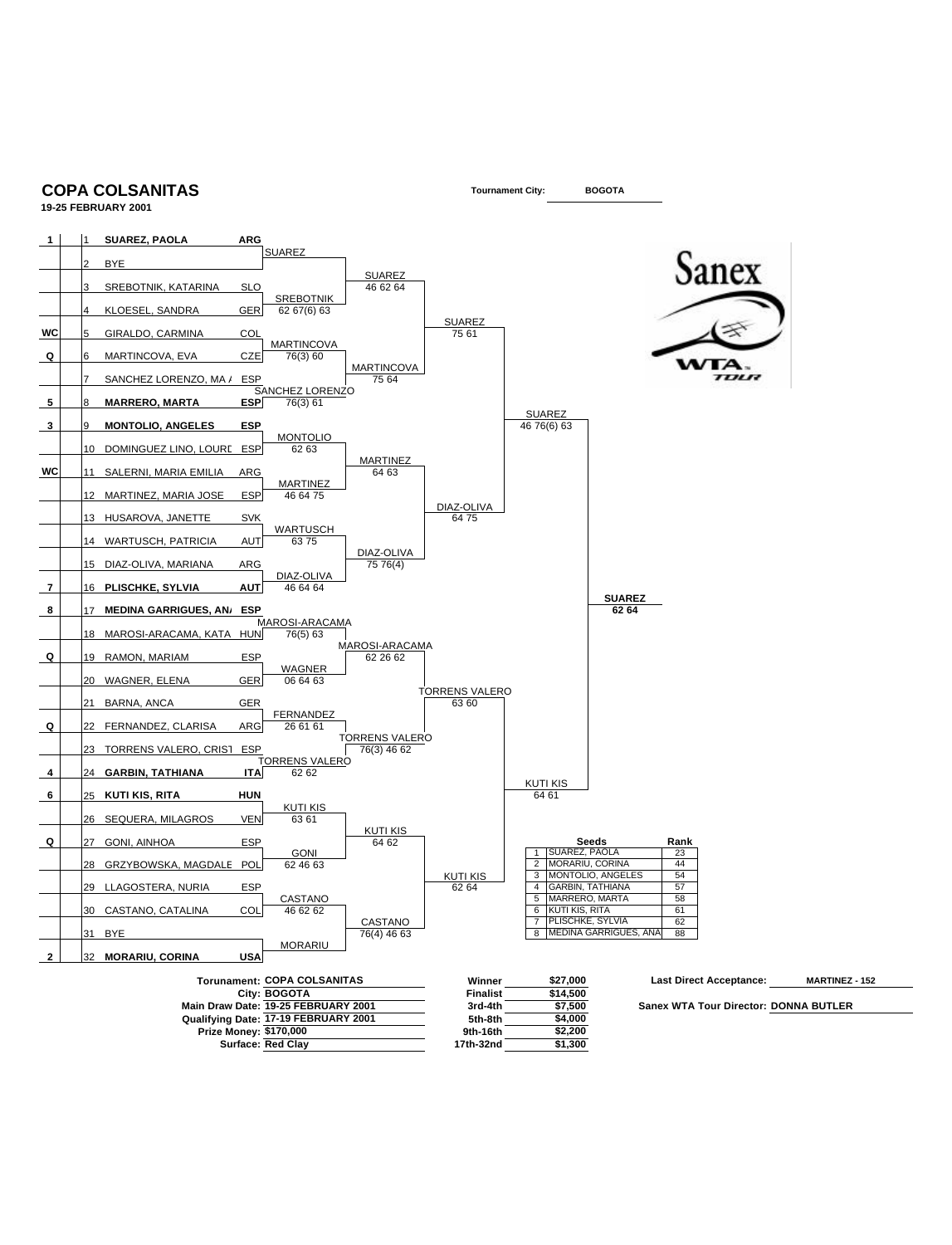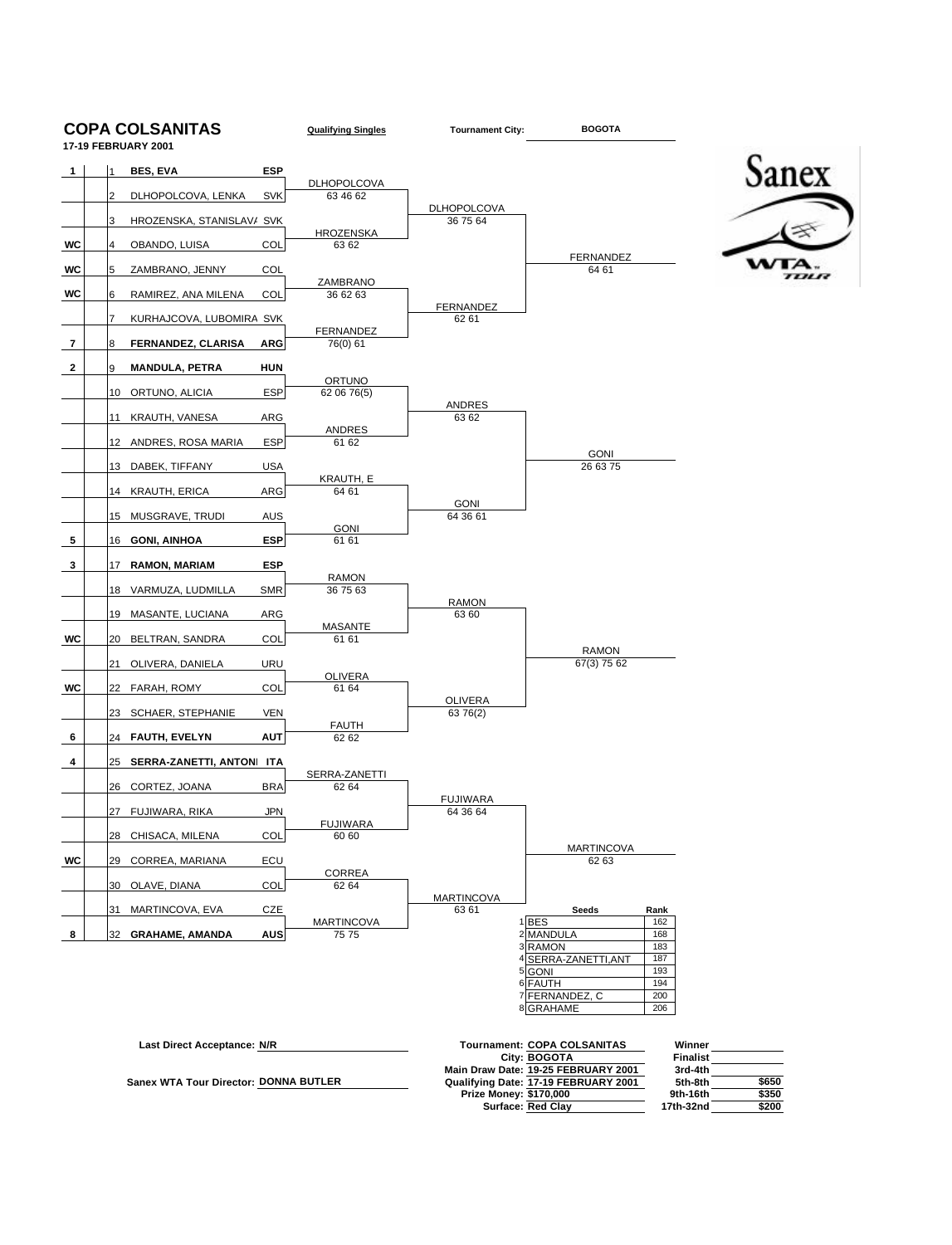

| Last Direct Acceptance: N/R                  | <b>Tournament: COPA COLSANITAS</b>   | Winner          |       |
|----------------------------------------------|--------------------------------------|-----------------|-------|
|                                              | City: BOGOTA                         | <b>Finalist</b> |       |
|                                              | Main Draw Date: 19-25 FEBRUARY 2001  | 3rd-4th         |       |
| <b>Sanex WTA Tour Director: DONNA BUTLER</b> | Qualifying Date: 17-19 FEBRUARY 2001 | 5th-8th         | \$650 |
|                                              | <b>Prize Money: \$170,000</b>        | 9th-16th        | \$350 |
|                                              | <b>Surface: Red Clav</b>             | 17th-32nd       | \$200 |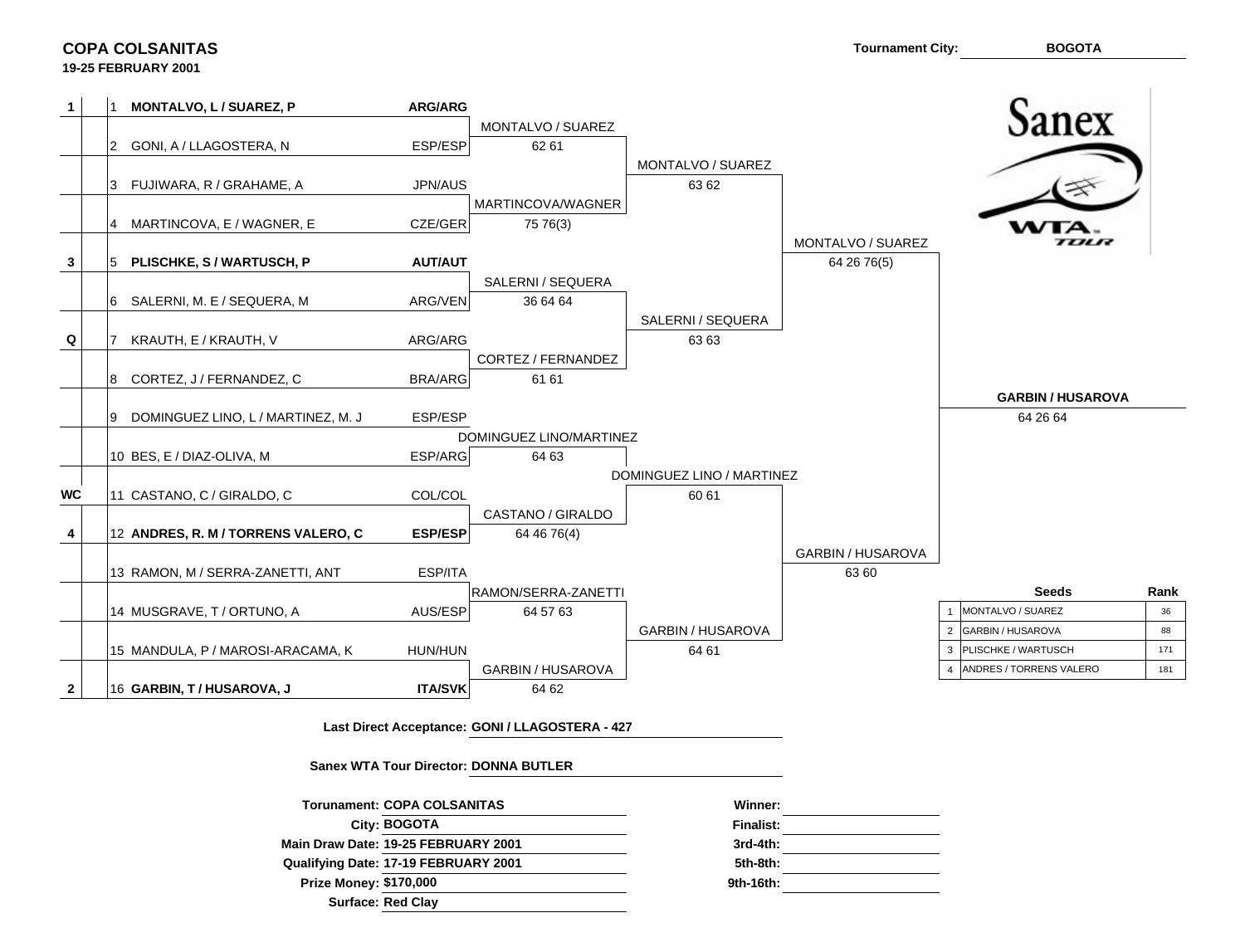**COPA COLSANITAS**

|              |    | MONTALVO, L / SUAREZ, P             | <b>ARG/ARG</b> |                         |                           |                   |   |                         |      |
|--------------|----|-------------------------------------|----------------|-------------------------|---------------------------|-------------------|---|-------------------------|------|
|              |    |                                     |                | MONTALVO / SUAREZ       |                           |                   |   | anex                    |      |
|              |    | GONI, A / LLAGOSTERA, N             | ESP/ESP        | 62 61                   |                           |                   |   |                         |      |
|              |    |                                     |                |                         | MONTALVO / SUAREZ         |                   |   |                         |      |
|              |    | 3 FUJIWARA, R / GRAHAME, A          | JPN/AUS        |                         | 63 62                     |                   |   |                         |      |
|              |    |                                     |                | MARTINCOVA/WAGNER       |                           |                   |   |                         |      |
|              |    | MARTINCOVA, E / WAGNER, E           | CZE/GER        | 75 76(3)                |                           |                   |   |                         |      |
|              |    |                                     |                |                         |                           | MONTALVO / SUAREZ |   | ,,,,,,                  |      |
| 3            |    | PLISCHKE, S / WARTUSCH, P           | AUT/AUT        |                         |                           | 64 26 76(5)       |   |                         |      |
|              |    |                                     |                | SALERNI / SEQUERA       |                           |                   |   |                         |      |
|              |    | 6 SALERNI, M. E / SEQUERA, M        | ARG/VEN        | 36 64 64                |                           |                   |   |                         |      |
|              |    |                                     |                |                         | SALERNI / SEQUERA         |                   |   |                         |      |
| Q            |    | KRAUTH, E / KRAUTH, V               | ARG/ARG        |                         | 63 63                     |                   |   |                         |      |
|              |    |                                     |                | CORTEZ / FERNANDEZ      |                           |                   |   |                         |      |
|              | 8  | CORTEZ, J / FERNANDEZ, C            | <b>BRA/ARG</b> | 61 61                   |                           |                   |   | <b>GARBIN/HUSAROVA</b>  |      |
|              | Ι9 | DOMINGUEZ LINO, L / MARTINEZ, M. J  | ESP/ESP        |                         |                           |                   |   | 64 26 64                |      |
|              |    |                                     |                | DOMINGUEZ LINO/MARTINEZ |                           |                   |   |                         |      |
|              |    | 10 BES, E / DIAZ-OLIVA, M           | ESP/ARG        | 64 63                   |                           |                   |   |                         |      |
|              |    |                                     |                |                         | DOMINGUEZ LINO / MARTINEZ |                   |   |                         |      |
| <b>WC</b>    |    | 11 CASTANO, C / GIRALDO, C          | COL/COL        |                         | 60 61                     |                   |   |                         |      |
|              |    |                                     |                | CASTANO / GIRALDO       |                           |                   |   |                         |      |
| 4            |    | 12 ANDRES, R. M / TORRENS VALERO, C | <b>ESP/ESP</b> | 64 46 76(4)             |                           |                   |   |                         |      |
|              |    |                                     |                |                         |                           | GARBIN / HUSAROVA |   |                         |      |
|              |    | 13 RAMON, M / SERRA-ZANETTI, ANT    | ESP/ITA        |                         |                           | 6360              |   |                         |      |
|              |    |                                     |                | RAMON/SERRA-ZANETTI     |                           |                   |   | <b>Seeds</b>            | Rank |
|              |    | 14 MUSGRAVE, T / ORTUNO, A          | AUS/ESP        | 64 57 63                |                           |                   |   | MONTALVO / SUAREZ       | 36   |
|              |    |                                     |                |                         | GARBIN / HUSAROVA         |                   |   | 2 GARBIN / HUSAROVA     | 88   |
|              |    | 15 MANDULA, P / MAROSI-ARACAMA, K   | HUN/HUN        |                         | 64 61                     |                   | 3 | PLISCHKE / WARTUSCH     | 171  |
|              |    |                                     |                | GARBIN / HUSAROVA       |                           |                   |   | ANDRES / TORRENS VALERO | 181  |
| $\mathbf{2}$ |    | 16 GARBIN, T/HUSAROVA, J            | <b>ITA/SVK</b> | 64 62                   |                           |                   |   |                         |      |

**Last Direct Acceptance: GONI / LLAGOSTERA - 427**

**Sanex WTA Tour Director: DONNA BUTLER**

| <b>Torunament: COPA COLSANITAS</b>   | Winner:     |
|--------------------------------------|-------------|
| City: BOGOTA                         | Finalist:   |
| Main Draw Date: 19-25 FEBRUARY 2001  | $3rd-4th$ : |
| Qualifying Date: 17-19 FEBRUARY 2001 | 5th-8th:    |
| <b>Prize Money: \$170,000</b>        | 9th-16th:   |
| <b>Surface: Red Clay</b>             |             |

| Winner:     |  |
|-------------|--|
| Finalist:   |  |
| $3rd-4th$ : |  |
| 5th-8th:    |  |
| 9th-16th:   |  |